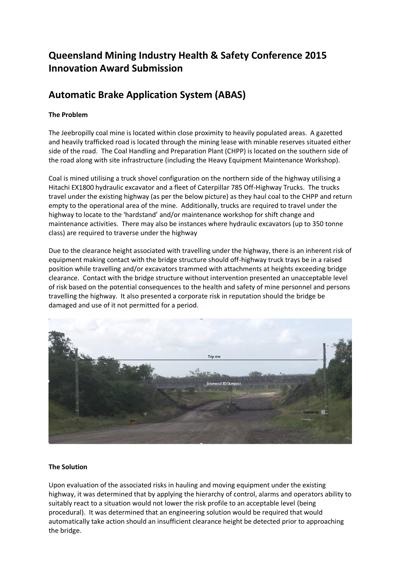# **Queensland Mining Industry Health & Safety Conference 2015 Innovation Award Submission**

# **Automatic Brake Application System (ABAS)**

# **The Problem**

The Jeebropilly coal mine is located within close proximity to heavily populated areas. A gazetted and heavily trafficked road is located through the mining lease with minable reserves situated either side of the road. The Coal Handling and Preparation Plant (CHPP) is located on the southern side of the road along with site infrastructure (including the Heavy Equipment Maintenance Workshop).

Coal is mined utilising a truck shovel configuration on the northern side of the highway utilising a Hitachi EX1800 hydraulic excavator and a fleet of Caterpillar 785 Off-Highway Trucks. The trucks travel under the existing highway (as per the below picture) as they haul coal to the CHPP and return empty to the operational area of the mine. Additionally, trucks are required to travel under the highway to locate to the 'hardstand' and/or maintenance workshop for shift change and maintenance activities. There may also be instances where hydraulic excavators (up to 350 tonne class) are required to traverse under the highway

Due to the clearance height associated with travelling under the highway, there is an inherent risk of equipment making contact with the bridge structure should off-highway truck trays be in a raised position while travelling and/or excavators trammed with attachments at heights exceeding bridge clearance. Contact with the bridge structure without intervention presented an unacceptable level of risk based on the potential consequences to the health and safety of mine personnel and persons travelling the highway. It also presented a corporate risk in reputation should the bridge be damaged and use of it not permitted for a period.



## **The Solution**

Upon evaluation of the associated risks in hauling and moving equipment under the existing highway, it was determined that by applying the hierarchy of control, alarms and operators ability to suitably react to a situation would not lower the risk profile to an acceptable level (being procedural). It was determined that an engineering solution would be required that would automatically take action should an insufficient clearance height be detected prior to approaching the bridge.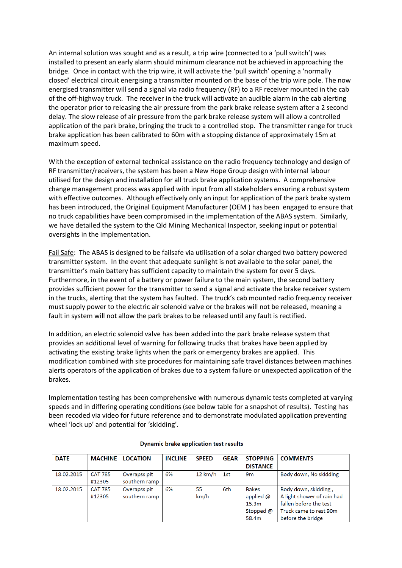An internal solution was sought and as a result, a trip wire (connected to a 'pull switch') was installed to present an early alarm should minimum clearance not be achieved in approaching the bridge. Once in contact with the trip wire, it will activate the 'pull switch' opening a 'normally closed' electrical circuit energising a transmitter mounted on the base of the trip wire pole. The now energised transmitter will send a signal via radio frequency (RF) to a RF receiver mounted in the cab of the off-highway truck. The receiver in the truck will activate an audible alarm in the cab alerting the operator prior to releasing the air pressure from the park brake release system after a 2 second delay. The slow release of air pressure from the park brake release system will allow a controlled application of the park brake, bringing the truck to a controlled stop. The transmitter range for truck brake application has been calibrated to 60m with a stopping distance of approximately 15m at maximum speed.

With the exception of external technical assistance on the radio frequency technology and design of RF transmitter/receivers, the system has been a New Hope Group design with internal labour utilised for the design and installation for all truck brake application systems. A comprehensive change management process was applied with input from all stakeholders ensuring a robust system with effective outcomes. Although effectively only an input for application of the park brake system has been introduced, the Original Equipment Manufacturer (OEM ) has been engaged to ensure that no truck capabilities have been compromised in the implementation of the ABAS system. Similarly, we have detailed the system to the Qld Mining Mechanical Inspector, seeking input or potential oversights in the implementation.

Fail Safe: The ABAS is designed to be failsafe via utilisation of a solar charged two battery powered transmitter system. In the event that adequate sunlight is not available to the solar panel, the transmitter's main battery has sufficient capacity to maintain the system for over 5 days. Furthermore, in the event of a battery or power failure to the main system, the second battery provides sufficient power for the transmitter to send a signal and activate the brake receiver system in the trucks, alerting that the system has faulted. The truck's cab mounted radio frequency receiver must supply power to the electric air solenoid valve or the brakes will not be released, meaning a fault in system will not allow the park brakes to be released until any fault is rectified.

In addition, an electric solenoid valve has been added into the park brake release system that provides an additional level of warning for following trucks that brakes have been applied by activating the existing brake lights when the park or emergency brakes are applied. This modification combined with site procedures for maintaining safe travel distances between machines alerts operators of the application of brakes due to a system failure or unexpected application of the brakes.

Implementation testing has been comprehensive with numerous dynamic tests completed at varying speeds and in differing operating conditions (see below table for a snapshot of results). Testing has been recoded via video for future reference and to demonstrate modulated application preventing wheel 'lock up' and potential for 'skidding'.

| <b>DATE</b> | <b>MACHINE</b>           | <b>LOCATION</b>               | <b>INCLINE</b> | <b>SPEED</b>      | <b>GEAR</b> | <b>STOPPING</b><br><b>DISTANCE</b>                       | <b>COMMENTS</b>                                                                                                             |
|-------------|--------------------------|-------------------------------|----------------|-------------------|-------------|----------------------------------------------------------|-----------------------------------------------------------------------------------------------------------------------------|
| 18.02.2015  | <b>CAT 785</b><br>#12305 | Overapss pit<br>southern ramp | 6%             | $12 \text{ km/h}$ | 1st         | 9m                                                       | Body down, No skidding                                                                                                      |
| 18.02.2015  | <b>CAT 785</b><br>#12305 | Overapss pit<br>southern ramp | 6%             | 55<br>km/h        | 6th         | <b>Bakes</b><br>applied @<br>15.3m<br>Stopped @<br>58.4m | Body down, skidding,<br>A light shower of rain had<br>fallen before the test<br>Truck came to rest 90m<br>before the bridge |

#### Dynamic brake application test results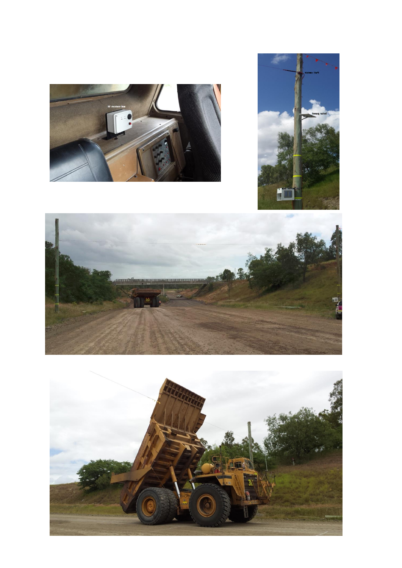